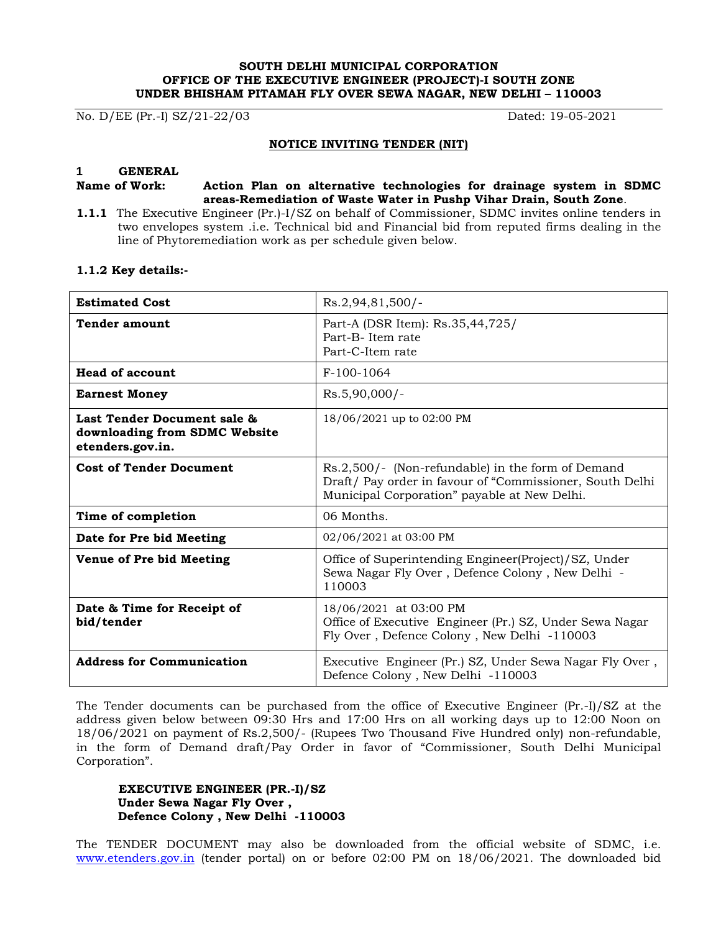#### **SOUTH DELHI MUNICIPAL CORPORATION OFFICE OF THE EXECUTIVE ENGINEER (PROJECT)-I SOUTH ZONE UNDER BHISHAM PITAMAH FLY OVER SEWA NAGAR, NEW DELHI – 110003**

No. D/EE (Pr.-I) SZ/21-22/03 Dated: 19-05-2021

### **NOTICE INVITING TENDER (NIT)**

#### **1 GENERAL**

#### **Name of Work: Action Plan on alternative technologies for drainage system in SDMC areas-Remediation of Waste Water in Pushp Vihar Drain, South Zone**.

**1.1.1** The Executive Engineer (Pr.)-I/SZ on behalf of Commissioner, SDMC invites online tenders in two envelopes system .i.e. Technical bid and Financial bid from reputed firms dealing in the line of Phytoremediation work as per schedule given below.

#### **1.1.2 Key details:-**

| <b>Estimated Cost</b>                                                            | $Rs.2,94,81,500/-$                                                                                                                                            |
|----------------------------------------------------------------------------------|---------------------------------------------------------------------------------------------------------------------------------------------------------------|
| <b>Tender amount</b>                                                             | Part-A (DSR Item): Rs.35,44,725/<br>Part-B-Item rate<br>Part-C-Item rate                                                                                      |
| <b>Head of account</b>                                                           | $F-100-1064$                                                                                                                                                  |
| <b>Earnest Money</b>                                                             | $Rs.5,90,000/-$                                                                                                                                               |
| Last Tender Document sale &<br>downloading from SDMC Website<br>etenders.gov.in. | 18/06/2021 up to 02:00 PM                                                                                                                                     |
| <b>Cost of Tender Document</b>                                                   | Rs.2,500/- (Non-refundable) in the form of Demand<br>Draft/ Pay order in favour of "Commissioner, South Delhi<br>Municipal Corporation" payable at New Delhi. |
| Time of completion                                                               | 06 Months.                                                                                                                                                    |
| Date for Pre bid Meeting                                                         | 02/06/2021 at 03:00 PM                                                                                                                                        |
| Venue of Pre bid Meeting                                                         | Office of Superintending Engineer(Project)/SZ, Under<br>Sewa Nagar Fly Over, Defence Colony, New Delhi -<br>110003                                            |
| Date & Time for Receipt of<br>bid/tender                                         | 18/06/2021 at 03:00 PM<br>Office of Executive Engineer (Pr.) SZ, Under Sewa Nagar<br>Fly Over, Defence Colony, New Delhi -110003                              |
| <b>Address for Communication</b>                                                 | Executive Engineer (Pr.) SZ, Under Sewa Nagar Fly Over,<br>Defence Colony, New Delhi -110003                                                                  |

The Tender documents can be purchased from the office of Executive Engineer (Pr.-I)/SZ at the address given below between 09:30 Hrs and 17:00 Hrs on all working days up to 12:00 Noon on 18/06/2021 on payment of Rs.2,500/- (Rupees Two Thousand Five Hundred only) non-refundable, in the form of Demand draft/Pay Order in favor of "Commissioner, South Delhi Municipal Corporation".

### **EXECUTIVE ENGINEER (PR.-I)/SZ Under Sewa Nagar Fly Over , Defence Colony , New Delhi -110003**

The TENDER DOCUMENT may also be downloaded from the official website of SDMC, i.e. www.etenders.gov.in (tender portal) on or before 02:00 PM on 18/06/2021. The downloaded bid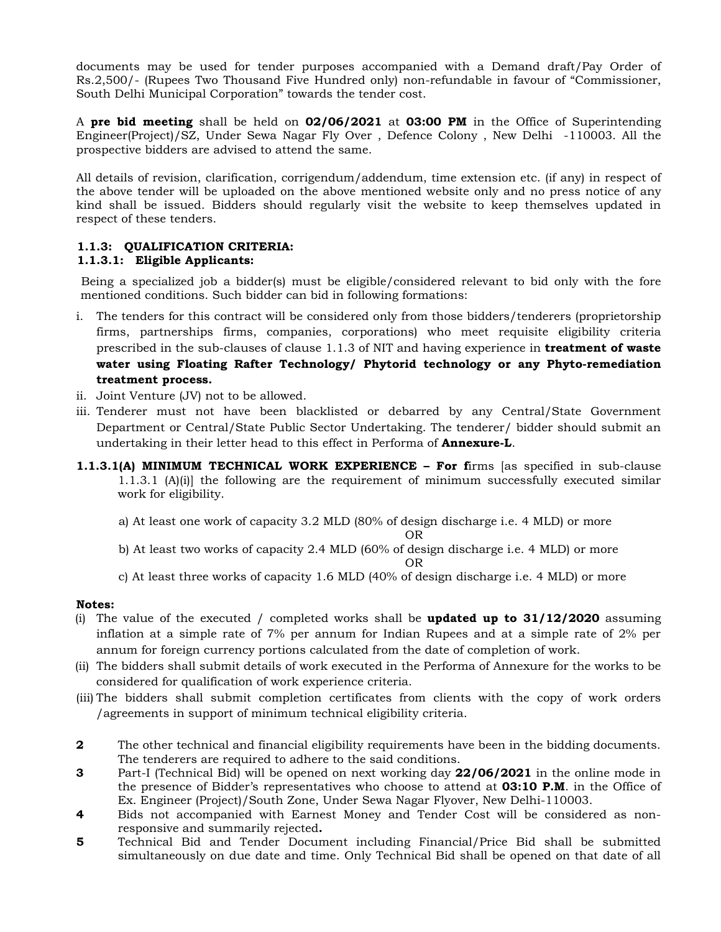documents may be used for tender purposes accompanied with a Demand draft/Pay Order of Rs.2,500/- (Rupees Two Thousand Five Hundred only) non-refundable in favour of "Commissioner, South Delhi Municipal Corporation" towards the tender cost.

A **pre bid meeting** shall be held on **02/06/2021** at **03:00 PM** in the Office of Superintending Engineer(Project)/SZ, Under Sewa Nagar Fly Over , Defence Colony , New Delhi -110003. All the prospective bidders are advised to attend the same.

All details of revision, clarification, corrigendum/addendum, time extension etc. (if any) in respect of the above tender will be uploaded on the above mentioned website only and no press notice of any kind shall be issued. Bidders should regularly visit the website to keep themselves updated in respect of these tenders.

# **1.1.3: QUALIFICATION CRITERIA:**

## **1.1.3.1: Eligible Applicants:**

Being a specialized job a bidder(s) must be eligible/considered relevant to bid only with the fore mentioned conditions. Such bidder can bid in following formations:

- i. The tenders for this contract will be considered only from those bidders/tenderers (proprietorship firms, partnerships firms, companies, corporations) who meet requisite eligibility criteria prescribed in the sub-clauses of clause 1.1.3 of NIT and having experience in **treatment of waste water using Floating Rafter Technology/ Phytorid technology or any Phyto-remediation treatment process.**
- ii. Joint Venture (JV) not to be allowed.
- iii. Tenderer must not have been blacklisted or debarred by any Central/State Government Department or Central/State Public Sector Undertaking. The tenderer/ bidder should submit an undertaking in their letter head to this effect in Performa of **Annexure-L**.
- **1.1.3.1(A) MINIMUM TECHNICAL WORK EXPERIENCE – For f**irms [as specified in sub-clause 1.1.3.1 (A)(i)] the following are the requirement of minimum successfully executed similar work for eligibility.
	- a) At least one work of capacity 3.2 MLD (80% of design discharge i.e. 4 MLD) or more

OR

- b) At least two works of capacity 2.4 MLD (60% of design discharge i.e. 4 MLD) or more OR
- c) At least three works of capacity 1.6 MLD (40% of design discharge i.e. 4 MLD) or more

## **Notes:**

- (i) The value of the executed / completed works shall be **updated up to 31/12/2020** assuming inflation at a simple rate of 7% per annum for Indian Rupees and at a simple rate of 2% per annum for foreign currency portions calculated from the date of completion of work.
- (ii) The bidders shall submit details of work executed in the Performa of Annexure for the works to be considered for qualification of work experience criteria.
- (iii) The bidders shall submit completion certificates from clients with the copy of work orders /agreements in support of minimum technical eligibility criteria.
- **2** The other technical and financial eligibility requirements have been in the bidding documents. The tenderers are required to adhere to the said conditions.
- **3** Part-I (Technical Bid) will be opened on next working day **22/06/2021** in the online mode in the presence of Bidder's representatives who choose to attend at **03:10 P.M**. in the Office of Ex. Engineer (Project)/South Zone, Under Sewa Nagar Flyover, New Delhi-110003.
- **4** Bids not accompanied with Earnest Money and Tender Cost will be considered as nonresponsive and summarily rejected**.**
- **5** Technical Bid and Tender Document including Financial/Price Bid shall be submitted simultaneously on due date and time. Only Technical Bid shall be opened on that date of all